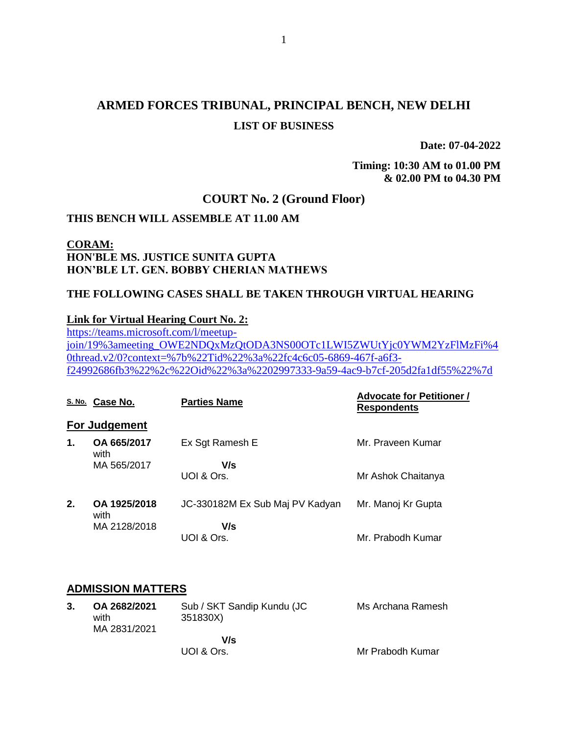## **ARMED FORCES TRIBUNAL, PRINCIPAL BENCH, NEW DELHI LIST OF BUSINESS**

**Date: 07-04-2022**

**Timing: 10:30 AM to 01.00 PM & 02.00 PM to 04.30 PM**

## **COURT No. 2 (Ground Floor)**

#### **THIS BENCH WILL ASSEMBLE AT 11.00 AM**

## **CORAM: HON'BLE MS. JUSTICE SUNITA GUPTA HON'BLE LT. GEN. BOBBY CHERIAN MATHEWS**

### **THE FOLLOWING CASES SHALL BE TAKEN THROUGH VIRTUAL HEARING**

#### **Link for Virtual Hearing Court No. 2:**

[https://teams.microsoft.com/l/meetup](https://teams.microsoft.com/l/meetup-join/19%3ameeting_OWE2NDQxMzQtODA3NS00OTc1LWI5ZWUtYjc0YWM2YzFlMzFi%40thread.v2/0?context=%7b%22Tid%22%3a%22fc4c6c05-6869-467f-a6f3-f24992686fb3%22%2c%22Oid%22%3a%2202997333-9a59-4ac9-b7cf-205d2fa1df55%22%7d)[join/19%3ameeting\\_OWE2NDQxMzQtODA3NS00OTc1LWI5ZWUtYjc0YWM2YzFlMzFi%4](https://teams.microsoft.com/l/meetup-join/19%3ameeting_OWE2NDQxMzQtODA3NS00OTc1LWI5ZWUtYjc0YWM2YzFlMzFi%40thread.v2/0?context=%7b%22Tid%22%3a%22fc4c6c05-6869-467f-a6f3-f24992686fb3%22%2c%22Oid%22%3a%2202997333-9a59-4ac9-b7cf-205d2fa1df55%22%7d) [0thread.v2/0?context=%7b%22Tid%22%3a%22fc4c6c05-6869-467f-a6f3](https://teams.microsoft.com/l/meetup-join/19%3ameeting_OWE2NDQxMzQtODA3NS00OTc1LWI5ZWUtYjc0YWM2YzFlMzFi%40thread.v2/0?context=%7b%22Tid%22%3a%22fc4c6c05-6869-467f-a6f3-f24992686fb3%22%2c%22Oid%22%3a%2202997333-9a59-4ac9-b7cf-205d2fa1df55%22%7d) [f24992686fb3%22%2c%22Oid%22%3a%2202997333-9a59-4ac9-b7cf-205d2fa1df55%22%7d](https://teams.microsoft.com/l/meetup-join/19%3ameeting_OWE2NDQxMzQtODA3NS00OTc1LWI5ZWUtYjc0YWM2YzFlMzFi%40thread.v2/0?context=%7b%22Tid%22%3a%22fc4c6c05-6869-467f-a6f3-f24992686fb3%22%2c%22Oid%22%3a%2202997333-9a59-4ac9-b7cf-205d2fa1df55%22%7d)

|    | S.No. Case No.       | <b>Parties Name</b>             | <b>Advocate for Petitioner /</b><br><b>Respondents</b> |
|----|----------------------|---------------------------------|--------------------------------------------------------|
|    | <b>For Judgement</b> |                                 |                                                        |
| 1. | OA 665/2017<br>with  | Ex Sgt Ramesh E                 | Mr. Praveen Kumar                                      |
|    | MA 565/2017          | V/s<br>UOI & Ors.               | Mr Ashok Chaitanya                                     |
| 2. | OA 1925/2018<br>with | JC-330182M Ex Sub Maj PV Kadyan | Mr. Manoj Kr Gupta                                     |
|    | MA 2128/2018         | V/s<br>UOI & Ors.               | Mr. Prabodh Kumar                                      |

### **ADMISSION MATTERS**

| 3. | OA 2682/2021 | Sub / SKT Sandip Kundu (JC | Ms Archana Ramesh |
|----|--------------|----------------------------|-------------------|
|    | with         | 351830X)                   |                   |
|    | MA 2831/2021 |                            |                   |
|    |              | V/s                        |                   |
|    |              | UOI & Ors.                 | Mr Prabodh Kumar  |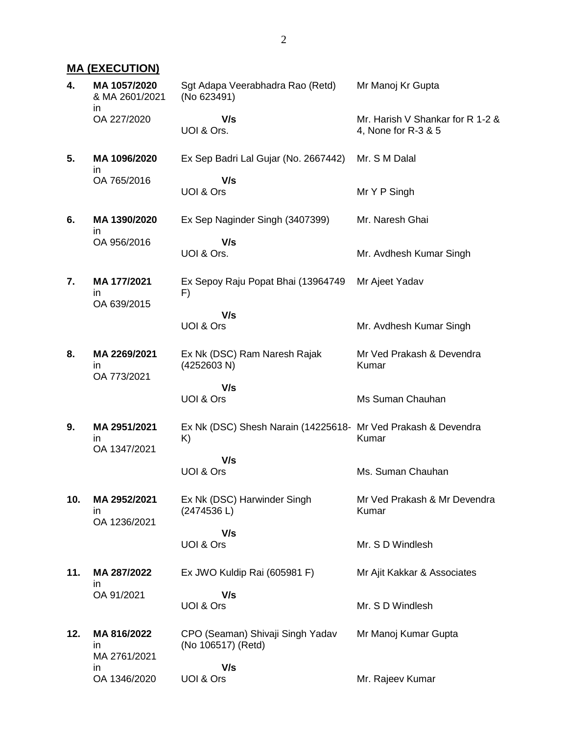## **MA (EXECUTION)**

| 4.  | MA 1057/2020<br>& MA 2601/2021     | Sgt Adapa Veerabhadra Rao (Retd)<br>(No 623491)                     | Mr Manoj Kr Gupta                                       |
|-----|------------------------------------|---------------------------------------------------------------------|---------------------------------------------------------|
|     | in.<br>OA 227/2020                 | V/s<br>UOI & Ors.                                                   | Mr. Harish V Shankar for R 1-2 &<br>4, None for R-3 & 5 |
| 5.  | MA 1096/2020<br>in                 | Ex Sep Badri Lal Gujar (No. 2667442)                                | Mr. S M Dalal                                           |
|     | OA 765/2016                        | V/s<br>UOI & Ors                                                    | Mr Y P Singh                                            |
| 6.  | MA 1390/2020<br>in.                | Ex Sep Naginder Singh (3407399)                                     | Mr. Naresh Ghai                                         |
|     | OA 956/2016                        | V/s<br>UOI & Ors.                                                   | Mr. Avdhesh Kumar Singh                                 |
| 7.  | MA 177/2021<br>ın<br>OA 639/2015   | Ex Sepoy Raju Popat Bhai (13964749<br>F)                            | Mr Ajeet Yadav                                          |
|     |                                    | V/s<br>UOI & Ors                                                    | Mr. Avdhesh Kumar Singh                                 |
| 8.  | MA 2269/2021<br>ın<br>OA 773/2021  | Ex Nk (DSC) Ram Naresh Rajak<br>(4252603 N)                         | Mr Ved Prakash & Devendra<br>Kumar                      |
|     |                                    | V/s<br>UOI & Ors                                                    | Ms Suman Chauhan                                        |
| 9.  | MA 2951/2021<br>in<br>OA 1347/2021 | Ex Nk (DSC) Shesh Narain (14225618- Mr Ved Prakash & Devendra<br>K) | Kumar                                                   |
|     |                                    | V/s<br>UOI & Ors                                                    | Ms. Suman Chauhan                                       |
| 10. | MA 2952/2021<br>ın<br>OA 1236/2021 | Ex Nk (DSC) Harwinder Singh<br>(2474536 L)                          | Mr Ved Prakash & Mr Devendra<br>Kumar                   |
|     |                                    | V/s<br>UOI & Ors                                                    | Mr. S D Windlesh                                        |
| 11. | MA 287/2022<br>ın                  | Ex JWO Kuldip Rai (605981 F)                                        | Mr Ajit Kakkar & Associates                             |
|     | OA 91/2021                         | V/s<br>UOI & Ors                                                    | Mr. S D Windlesh                                        |
| 12. | MA 816/2022<br>in<br>MA 2761/2021  | CPO (Seaman) Shivaji Singh Yadav<br>(No 106517) (Retd)              | Mr Manoj Kumar Gupta                                    |
|     | in.<br>OA 1346/2020                | V/s<br>UOI & Ors                                                    | Mr. Rajeev Kumar                                        |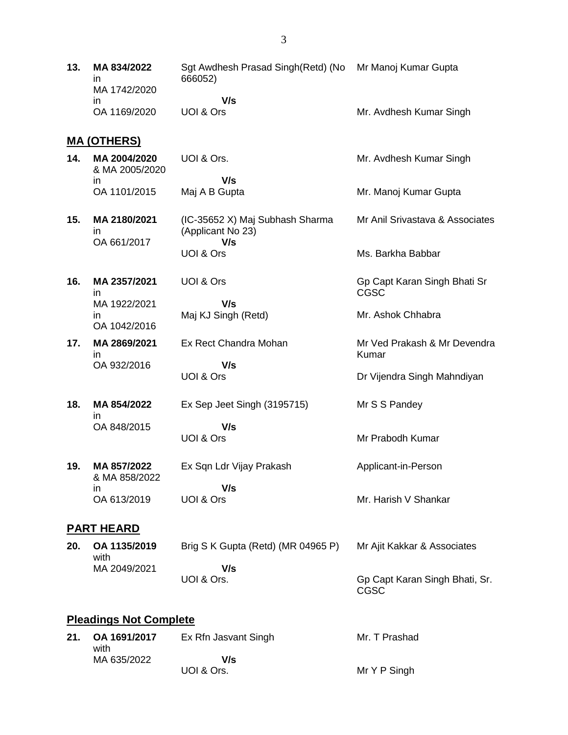**13. MA 834/2022** in MA 1742/2020 in OA 1169/2020 Sgt Awdhesh Prasad Singh(Retd) (No Mr Manoj Kumar Gupta 666052)  **V/s** UOI & Ors Mr. Avdhesh Kumar Singh

#### **MA (OTHERS)**

| 14. | MA 2004/2020<br>& MA 2005/2020 | UOI & Ors.    | Mr. Avdhesh Kumar Singh |
|-----|--------------------------------|---------------|-------------------------|
|     |                                | V/s           |                         |
|     | OA 1101/2015                   | Maj A B Gupta | Mr. Manoj Kumar Gupta   |

Gp Capt Karan Singh Bhati Sr

Mr Ved Prakash & Mr Devendra

Dr Vijendra Singh Mahndiyan

Mr. Ashok Chhabra

Mr S S Pandey

Mr Prabodh Kumar

Applicant-in-Person

Mr. Harish V Shankar

CGSC

Kumar

- **15. MA 2180/2021** in OA 661/2017 (IC-35652 X) Maj Subhash Sharma (Applicant No 23)  **V/s** UOI & Ors Mr Anil Srivastava & Associates Ms. Barkha Babbar
- **16. MA 2357/2021** in MA 1922/2021 in OA 1042/2016 UOI & Ors Maj KJ Singh (Retd)
- **17. MA 2869/2021** in OA 932/2016 Ex Rect Chandra Mohan  **V/s**

UOI & Ors

 **V/s**

- **18. MA 854/2022** in OA 848/2015 Ex Sep Jeet Singh (3195715)  **V/s** UOI & Ors
- **19. MA 857/2022** & MA 858/2022 in OA 613/2019 Ex Sqn Ldr Vijay Prakash  **V/s** UOI & Ors

#### **PART HEARD**

| 20. | OA 1135/2019<br>with | Brig S K Gupta (Retd) (MR 04965 P) | Mr Ajit Kakkar & Associates            |
|-----|----------------------|------------------------------------|----------------------------------------|
|     | MA 2049/2021         | V/s                                |                                        |
|     |                      | UOI & Ors.                         | Gp Capt Karan Singh Bhati, Sr.<br>CGSC |

### **Pleadings Not Complete**

| 21. OA 1691/2017<br>with | Ex Rfn Jasvant Singh | Mr. T Prashad |
|--------------------------|----------------------|---------------|
| MA 635/2022              | V/s                  |               |
|                          | UOI & Ors.           | Mr Y P Singh  |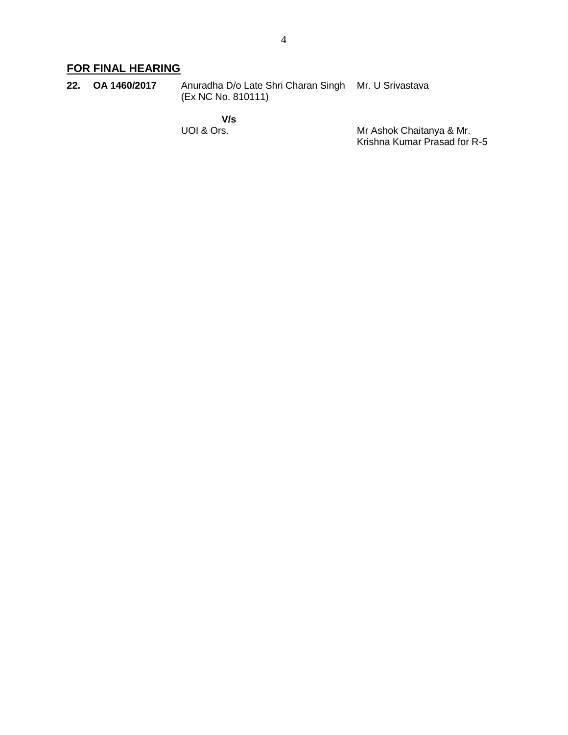## **FOR FINAL HEARING**

| 22. OA 1460/2017 | Anuradha D/o Late Shri Charan Singh Mr. U Srivastava |  |
|------------------|------------------------------------------------------|--|
|                  | (Ex NC No. 810111)                                   |  |

 **V/s** UOI & Ors.

Mr Ashok Chaitanya & Mr. Krishna Kumar Prasad for R-5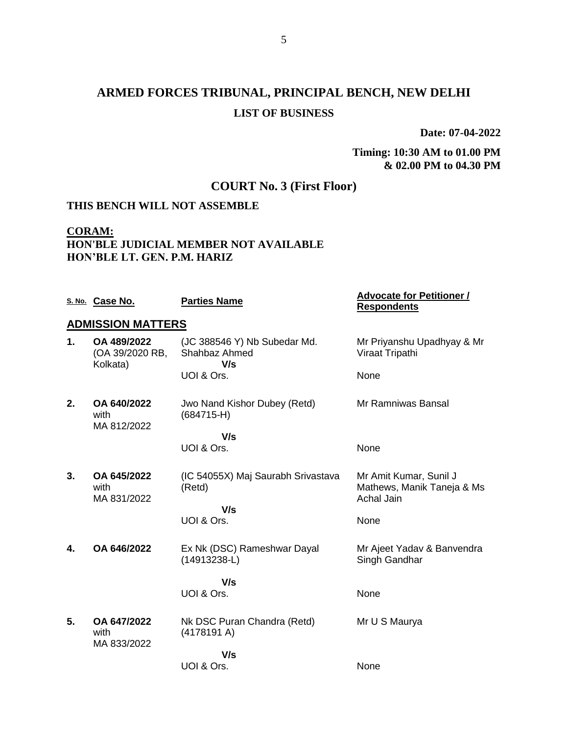# **ARMED FORCES TRIBUNAL, PRINCIPAL BENCH, NEW DELHI LIST OF BUSINESS**

**Date: 07-04-2022**

**Timing: 10:30 AM to 01.00 PM & 02.00 PM to 04.30 PM**

## **COURT No. 3 (First Floor)**

### **THIS BENCH WILL NOT ASSEMBLE**

## **CORAM: HON'BLE JUDICIAL MEMBER NOT AVAILABLE HON'BLE LT. GEN. P.M. HARIZ**

|    | S. No. Case No.                            | <b>Parties Name</b>                                  | <b>Advocate for Petitioner /</b><br><b>Respondents</b>                    |
|----|--------------------------------------------|------------------------------------------------------|---------------------------------------------------------------------------|
|    | <b>ADMISSION MATTERS</b>                   |                                                      |                                                                           |
| 1. | OA 489/2022<br>(OA 39/2020 RB,<br>Kolkata) | (JC 388546 Y) Nb Subedar Md.<br>Shahbaz Ahmed<br>V/s | Mr Priyanshu Upadhyay & Mr<br>Viraat Tripathi                             |
|    |                                            | UOI & Ors.                                           | None                                                                      |
| 2. | OA 640/2022<br>with<br>MA 812/2022         | Jwo Nand Kishor Dubey (Retd)<br>$(684715-H)$         | Mr Ramniwas Bansal                                                        |
|    |                                            | V/s                                                  |                                                                           |
|    |                                            | UOI & Ors.                                           | None                                                                      |
| 3. | OA 645/2022<br>with<br>MA 831/2022         | (IC 54055X) Maj Saurabh Srivastava<br>(Retd)         | Mr Amit Kumar, Sunil J<br>Mathews, Manik Taneja & Ms<br><b>Achal Jain</b> |
|    |                                            | V/s<br>UOI & Ors.                                    | None                                                                      |
| 4. | OA 646/2022                                | Ex Nk (DSC) Rameshwar Dayal<br>(14913238-L)          | Mr Ajeet Yadav & Banvendra<br>Singh Gandhar                               |
|    |                                            | V/s                                                  |                                                                           |
|    |                                            | UOI & Ors.                                           | None                                                                      |
| 5. | OA 647/2022<br>with<br>MA 833/2022         | Nk DSC Puran Chandra (Retd)<br>(4178191 A)           | Mr U S Maurya                                                             |
|    |                                            | V/s                                                  |                                                                           |
|    |                                            | UOI & Ors.                                           | None                                                                      |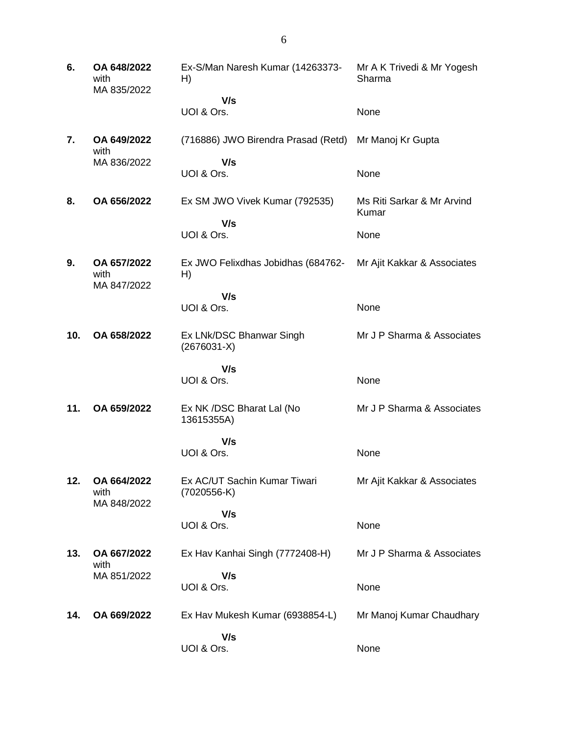**6. OA 648/2022** with MA 835/2022 Ex-S/Man Naresh Kumar (14263373- H)  **V/s** UOI & Ors. Mr A K Trivedi & Mr Yogesh Sharma None **7. OA 649/2022** with MA 836/2022 (716886) JWO Birendra Prasad (Retd) Mr Manoj Kr Gupta  **V/s** UOI & Ors. None **8. OA 656/2022** Ex SM JWO Vivek Kumar (792535)  **V/s** UOI & Ors. Ms Riti Sarkar & Mr Arvind Kumar None **9. OA 657/2022** with MA 847/2022 Ex JWO Felixdhas Jobidhas (684762- H)  **V/s** UOI & Ors. Mr Ajit Kakkar & Associates None **10. OA 658/2022** Ex LNk/DSC Bhanwar Singh (2676031-X)  **V/s** UOI & Ors. Mr J P Sharma & Associates None **11. OA 659/2022** Ex NK /DSC Bharat Lal (No 13615355A)  **V/s** UOI & Ors. Mr J P Sharma & Associates None **12. OA 664/2022** with MA 848/2022 Ex AC/UT Sachin Kumar Tiwari (7020556-K)  **V/s** UOI & Ors. Mr Ajit Kakkar & Associates None **13. OA 667/2022** with MA 851/2022 Ex Hav Kanhai Singh (7772408-H)  **V/s** UOI & Ors. Mr J P Sharma & Associates None **14. OA 669/2022** Ex Hav Mukesh Kumar (6938854-L)  **V/s** UOI & Ors. Mr Manoj Kumar Chaudhary None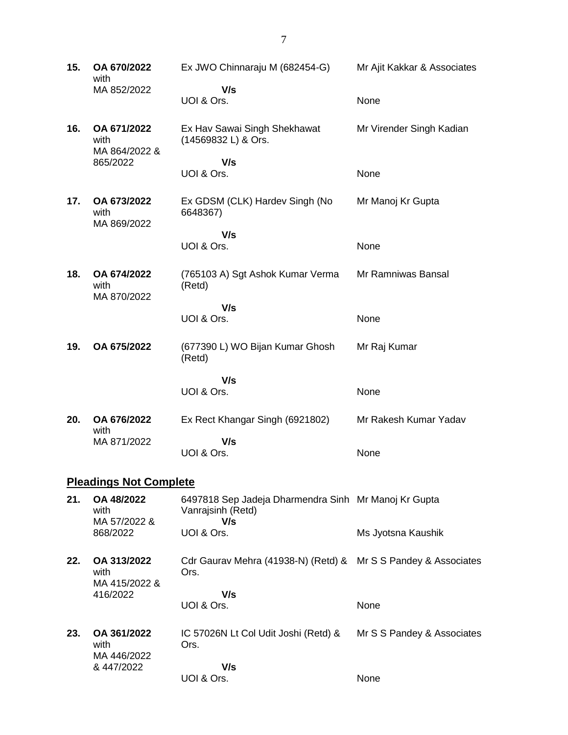**15. OA 670/2022** with MA 852/2022 Ex JWO Chinnaraju M (682454-G)  **V/s** UOI & Ors. Mr Ajit Kakkar & Associates None **16. OA 671/2022** with MA 864/2022 & 865/2022 Ex Hav Sawai Singh Shekhawat (14569832 L) & Ors.  **V/s** UOI & Ors. Mr Virender Singh Kadian None **17. OA 673/2022** with MA 869/2022 Ex GDSM (CLK) Hardev Singh (No 6648367)  **V/s** UOI & Ors. Mr Manoj Kr Gupta None **18. OA 674/2022** with MA 870/2022 (765103 A) Sgt Ashok Kumar Verma (Retd)  **V/s** UOI & Ors. Mr Ramniwas Bansal None **19. OA 675/2022** (677390 L) WO Bijan Kumar Ghosh (Retd)  **V/s** UOI & Ors. Mr Raj Kumar None **20. OA 676/2022** with MA 871/2022 Ex Rect Khangar Singh (6921802)  **V/s** UOI & Ors. Mr Rakesh Kumar Yadav None **Pleadings Not Complete 21. OA 48/2022** with MA 57/2022 & 868/2022 6497818 Sep Jadeja Dharmendra Sinh Mr Manoj Kr Gupta Vanrajsinh (Retd)  **V/s** UOI & Ors. Ms Jyotsna Kaushik **22. OA 313/2022** with MA 415/2022 & 416/2022 Cdr Gaurav Mehra (41938-N) (Retd) & Mr S S Pandey & Associates Ors.  **V/s** UOI & Ors. None **23. OA 361/2022** with MA 446/2022 & 447/2022 IC 57026N Lt Col Udit Joshi (Retd) & Ors.  **V/s** UOI & Ors. Mr S S Pandey & Associates None